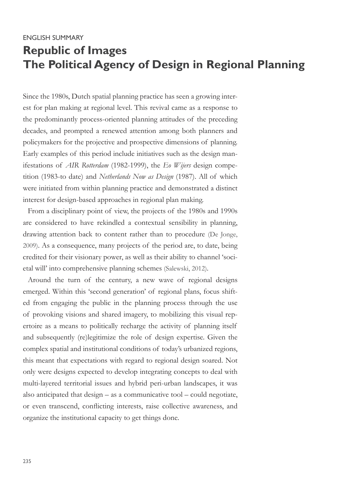# ENGLISH SUMMARY **Republic of Images The Political Agency of Design in Regional Planning**

Since the 1980s, Dutch spatial planning practice has seen a growing interest for plan making at regional level. This revival came as a response to the predominantly process-oriented planning attitudes of the preceding decades, and prompted a renewed attention among both planners and policymakers for the projective and prospective dimensions of planning. Early examples of this period include initiatives such as the design manifestations of *AIR Rotterdam* (1982-1999), the *Eo Wijers* design competition (1983-to date) and *Netherlands Now as Design* (1987). All of which were initiated from within planning practice and demonstrated a distinct interest for design-based approaches in regional plan making.

From a disciplinary point of view, the projects of the 1980s and 1990s are considered to have rekindled a contextual sensibility in planning, drawing attention back to content rather than to procedure (De Jonge, 2009). As a consequence, many projects of the period are, to date, being credited for their visionary power, as well as their ability to channel 'societal will' into comprehensive planning schemes (Salewski, 2012).

Around the turn of the century, a new wave of regional designs emerged. Within this 'second generation' of regional plans, focus shifted from engaging the public in the planning process through the use of provoking visions and shared imagery, to mobilizing this visual repertoire as a means to politically recharge the activity of planning itself and subsequently (re)legitimize the role of design expertise. Given the complex spatial and institutional conditions of today's urbanized regions, this meant that expectations with regard to regional design soared. Not only were designs expected to develop integrating concepts to deal with multi-layered territorial issues and hybrid peri-urban landscapes, it was also anticipated that design – as a communicative tool – could negotiate, or even transcend, conflicting interests, raise collective awareness, and organize the institutional capacity to get things done.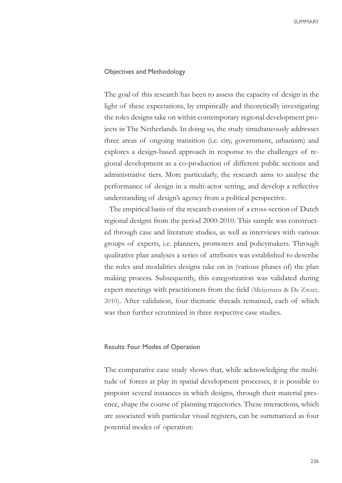### Objectives and Methodology

The goal of this research has been to assess the capacity of design in the light of these expectations, by empirically and theoretically investigating the roles designs take on within contemporary regional development projects in The Netherlands. In doing so, the study simultaneously addresses three areas of ongoing transition (i.e. city, government, urbanism) and explores a design-based approach in response to the challenges of regional development as a co-production of different public sections and administrative tiers. More particularly, the research aims to analyse the performance of design in a multi-actor setting, and develop a reflective understanding of design's agency from a political perspective.

The empirical basis of the research consists of a cross-section of Dutch regional designs from the period 2000-2010. This sample was constructed through case and literature studies, as well as interviews with various groups of experts, i.e. planners, promoters and policymakers. Through qualitative plan analyses a series of attributes was established to describe the roles and modalities designs take on in (various phases of) the plan making process. Subsequently, this categorization was validated during expert meetings with practitioners from the field (Meijsmans & De Zwart, 2010). After validation, four thematic threads remained, each of which was then further scrutinized in three respective case studies.

#### Results: Four Modes of Operation

The comparative case study shows that, while acknowledging the multitude of forces at play in spatial development processes, it is possible to pinpoint several instances in which designs, through their material presence, shape the course of planning trajectories. These interactions, which are associated with particular visual registers, can be summarized as four potential modes of operation: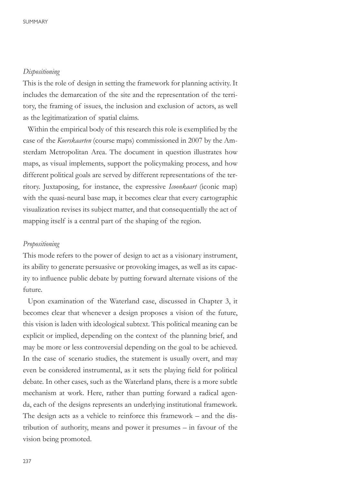# *Dispositioning*

This is the role of design in setting the framework for planning activity. It includes the demarcation of the site and the representation of the territory, the framing of issues, the inclusion and exclusion of actors, as well as the legitimatization of spatial claims.

Within the empirical body of this research this role is exemplified by the case of the *Koerskaarten* (course maps) commissioned in 2007 by the Amsterdam Metropolitan Area. The document in question illustrates how maps, as visual implements, support the policymaking process, and how different political goals are served by different representations of the territory. Juxtaposing, for instance, the expressive *Icoonkaart* (iconic map) with the quasi-neural base map, it becomes clear that every cartographic visualization revises its subject matter, and that consequentially the act of mapping itself is a central part of the shaping of the region.

#### *Propositioning*

This mode refers to the power of design to act as a visionary instrument, its ability to generate persuasive or provoking images, as well as its capacity to influence public debate by putting forward alternate visions of the future.

Upon examination of the Waterland case, discussed in Chapter 3, it becomes clear that whenever a design proposes a vision of the future, this vision is laden with ideological subtext. This political meaning can be explicit or implied, depending on the context of the planning brief, and may be more or less controversial depending on the goal to be achieved. In the case of scenario studies, the statement is usually overt, and may even be considered instrumental, as it sets the playing field for political debate. In other cases, such as the Waterland plans, there is a more subtle mechanism at work. Here, rather than putting forward a radical agenda, each of the designs represents an underlying institutional framework. The design acts as a vehicle to reinforce this framework – and the distribution of authority, means and power it presumes – in favour of the vision being promoted.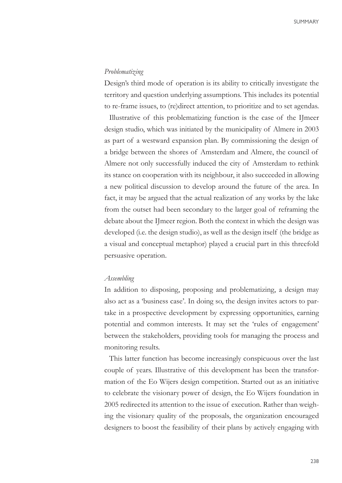# *Problematizing*

Design's third mode of operation is its ability to critically investigate the territory and question underlying assumptions. This includes its potential to re-frame issues, to (re)direct attention, to prioritize and to set agendas.

Illustrative of this problematizing function is the case of the IJmeer design studio, which was initiated by the municipality of Almere in 2003 as part of a westward expansion plan. By commissioning the design of a bridge between the shores of Amsterdam and Almere, the council of Almere not only successfully induced the city of Amsterdam to rethink its stance on cooperation with its neighbour, it also succeeded in allowing a new political discussion to develop around the future of the area. In fact, it may be argued that the actual realization of any works by the lake from the outset had been secondary to the larger goal of reframing the debate about the IJmeer region. Both the context in which the design was developed (i.e. the design studio), as well as the design itself (the bridge as a visual and conceptual metaphor) played a crucial part in this threefold persuasive operation.

## *Assembling*

In addition to disposing, proposing and problematizing, a design may also act as a 'business case'. In doing so, the design invites actors to partake in a prospective development by expressing opportunities, earning potential and common interests. It may set the 'rules of engagement' between the stakeholders, providing tools for managing the process and monitoring results.

This latter function has become increasingly conspicuous over the last couple of years. Illustrative of this development has been the transformation of the Eo Wijers design competition. Started out as an initiative to celebrate the visionary power of design, the Eo Wijers foundation in 2005 redirected its attention to the issue of execution. Rather than weighing the visionary quality of the proposals, the organization encouraged designers to boost the feasibility of their plans by actively engaging with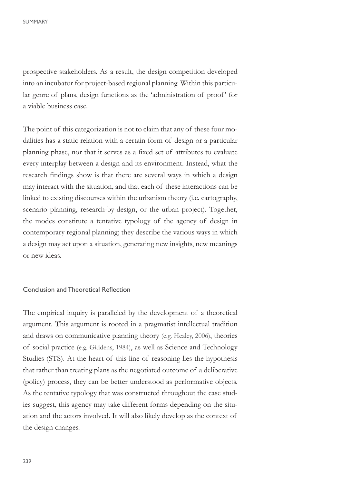prospective stakeholders. As a result, the design competition developed into an incubator for project-based regional planning. Within this particular genre of plans, design functions as the 'administration of proof' for a viable business case.

The point of this categorization is not to claim that any of these four modalities has a static relation with a certain form of design or a particular planning phase, nor that it serves as a fixed set of attributes to evaluate every interplay between a design and its environment. Instead, what the research findings show is that there are several ways in which a design may interact with the situation, and that each of these interactions can be linked to existing discourses within the urbanism theory (i.e. cartography, scenario planning, research-by-design, or the urban project). Together, the modes constitute a tentative typology of the agency of design in contemporary regional planning; they describe the various ways in which a design may act upon a situation, generating new insights, new meanings or new ideas.

## Conclusion and Theoretical Reflection

The empirical inquiry is paralleled by the development of a theoretical argument. This argument is rooted in a pragmatist intellectual tradition and draws on communicative planning theory (e.g. Healey, 2006), theories of social practice (e.g. Giddens, 1984), as well as Science and Technology Studies (STS). At the heart of this line of reasoning lies the hypothesis that rather than treating plans as the negotiated outcome of a deliberative (policy) process, they can be better understood as performative objects. As the tentative typology that was constructed throughout the case studies suggest, this agency may take different forms depending on the situation and the actors involved. It will also likely develop as the context of the design changes.